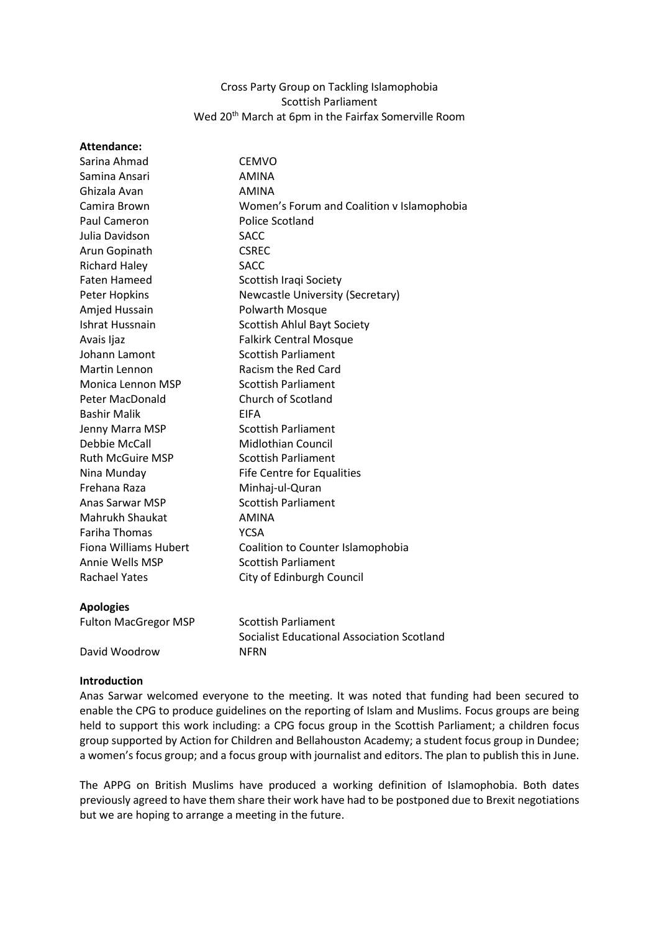## Cross Party Group on Tackling Islamophobia Scottish Parliament Wed 20<sup>th</sup> March at 6pm in the Fairfax Somerville Room

| <b>Attendance:</b>           |                                            |
|------------------------------|--------------------------------------------|
| Sarina Ahmad                 | <b>CEMVO</b>                               |
| Samina Ansari                | <b>AMINA</b>                               |
| Ghizala Avan                 | <b>AMINA</b>                               |
| Camira Brown                 | Women's Forum and Coalition v Islamophobia |
| Paul Cameron                 | <b>Police Scotland</b>                     |
| Julia Davidson               | <b>SACC</b>                                |
| Arun Gopinath                | <b>CSREC</b>                               |
| <b>Richard Haley</b>         | <b>SACC</b>                                |
| <b>Faten Hameed</b>          | Scottish Iraqi Society                     |
| Peter Hopkins                | Newcastle University (Secretary)           |
| Amjed Hussain                | Polwarth Mosque                            |
| Ishrat Hussnain              | Scottish Ahlul Bayt Society                |
| Avais Ijaz                   | <b>Falkirk Central Mosque</b>              |
| Johann Lamont                | <b>Scottish Parliament</b>                 |
| Martin Lennon                | Racism the Red Card                        |
| Monica Lennon MSP            | <b>Scottish Parliament</b>                 |
| Peter MacDonald              | Church of Scotland                         |
| <b>Bashir Malik</b>          | <b>FIFA</b>                                |
| Jenny Marra MSP              | <b>Scottish Parliament</b>                 |
| Debbie McCall                | <b>Midlothian Council</b>                  |
| <b>Ruth McGuire MSP</b>      | <b>Scottish Parliament</b>                 |
| Nina Munday                  | <b>Fife Centre for Equalities</b>          |
| Frehana Raza                 | Minhaj-ul-Quran                            |
| Anas Sarwar MSP              | <b>Scottish Parliament</b>                 |
| Mahrukh Shaukat              | <b>AMINA</b>                               |
| <b>Fariha Thomas</b>         | <b>YCSA</b>                                |
| <b>Fiona Williams Hubert</b> | Coalition to Counter Islamophobia          |
| Annie Wells MSP              | <b>Scottish Parliament</b>                 |
| <b>Rachael Yates</b>         | City of Edinburgh Council                  |
| <b>Apologies</b>             |                                            |
| <b>Fulton MacGregor MSP</b>  | <b>Scottish Parliament</b>                 |

Socialist Educational Association Scotland David Woodrow NFRN

## **Introduction**

Anas Sarwar welcomed everyone to the meeting. It was noted that funding had been secured to enable the CPG to produce guidelines on the reporting of Islam and Muslims. Focus groups are being held to support this work including: a CPG focus group in the Scottish Parliament; a children focus group supported by Action for Children and Bellahouston Academy; a student focus group in Dundee; a women's focus group; and a focus group with journalist and editors. The plan to publish this in June.

The APPG on British Muslims have produced a working definition of Islamophobia. Both dates previously agreed to have them share their work have had to be postponed due to Brexit negotiations but we are hoping to arrange a meeting in the future.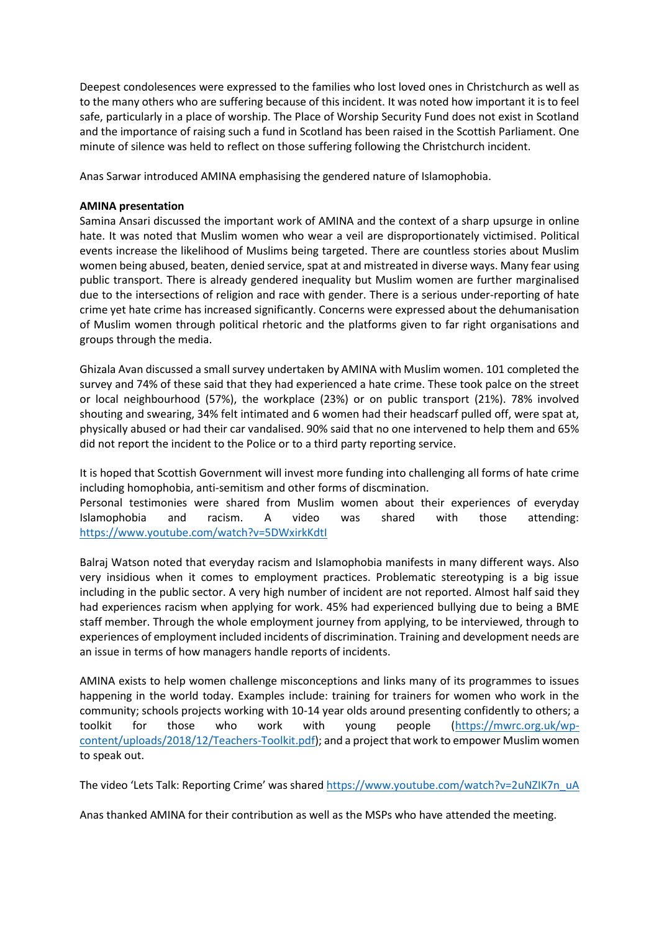Deepest condolesences were expressed to the families who lost loved ones in Christchurch as well as to the many others who are suffering because of this incident. It was noted how important it is to feel safe, particularly in a place of worship. The Place of Worship Security Fund does not exist in Scotland and the importance of raising such a fund in Scotland has been raised in the Scottish Parliament. One minute of silence was held to reflect on those suffering following the Christchurch incident.

Anas Sarwar introduced AMINA emphasising the gendered nature of Islamophobia.

## **AMINA presentation**

Samina Ansari discussed the important work of AMINA and the context of a sharp upsurge in online hate. It was noted that Muslim women who wear a veil are disproportionately victimised. Political events increase the likelihood of Muslims being targeted. There are countless stories about Muslim women being abused, beaten, denied service, spat at and mistreated in diverse ways. Many fear using public transport. There is already gendered inequality but Muslim women are further marginalised due to the intersections of religion and race with gender. There is a serious under-reporting of hate crime yet hate crime has increased significantly. Concerns were expressed about the dehumanisation of Muslim women through political rhetoric and the platforms given to far right organisations and groups through the media.

Ghizala Avan discussed a small survey undertaken by AMINA with Muslim women. 101 completed the survey and 74% of these said that they had experienced a hate crime. These took palce on the street or local neighbourhood (57%), the workplace (23%) or on public transport (21%). 78% involved shouting and swearing, 34% felt intimated and 6 women had their headscarf pulled off, were spat at, physically abused or had their car vandalised. 90% said that no one intervened to help them and 65% did not report the incident to the Police or to a third party reporting service.

It is hoped that Scottish Government will invest more funding into challenging all forms of hate crime including homophobia, anti-semitism and other forms of discmination. Personal testimonies were shared from Muslim women about their experiences of everyday

Islamophobia and racism. A video was shared with those attending: <https://www.youtube.com/watch?v=5DWxirkKdtI>

Balraj Watson noted that everyday racism and Islamophobia manifests in many different ways. Also very insidious when it comes to employment practices. Problematic stereotyping is a big issue including in the public sector. A very high number of incident are not reported. Almost half said they had experiences racism when applying for work. 45% had experienced bullying due to being a BME staff member. Through the whole employment journey from applying, to be interviewed, through to experiences of employment included incidents of discrimination. Training and development needs are an issue in terms of how managers handle reports of incidents.

AMINA exists to help women challenge misconceptions and links many of its programmes to issues happening in the world today. Examples include: training for trainers for women who work in the community; schools projects working with 10-14 year olds around presenting confidently to others; a toolkit for those who work with young people [\(https://mwrc.org.uk/wp](https://mwrc.org.uk/wp-content/uploads/2018/12/Teachers-Toolkit.pdf)[content/uploads/2018/12/Teachers-Toolkit.pdf\)](https://mwrc.org.uk/wp-content/uploads/2018/12/Teachers-Toolkit.pdf); and a project that work to empower Muslim women to speak out.

The video 'Lets Talk: Reporting Crime' was shared [https://www.youtube.com/watch?v=2uNZIK7n\\_uA](https://www.youtube.com/watch?v=2uNZIK7n_uA)

Anas thanked AMINA for their contribution as well as the MSPs who have attended the meeting.